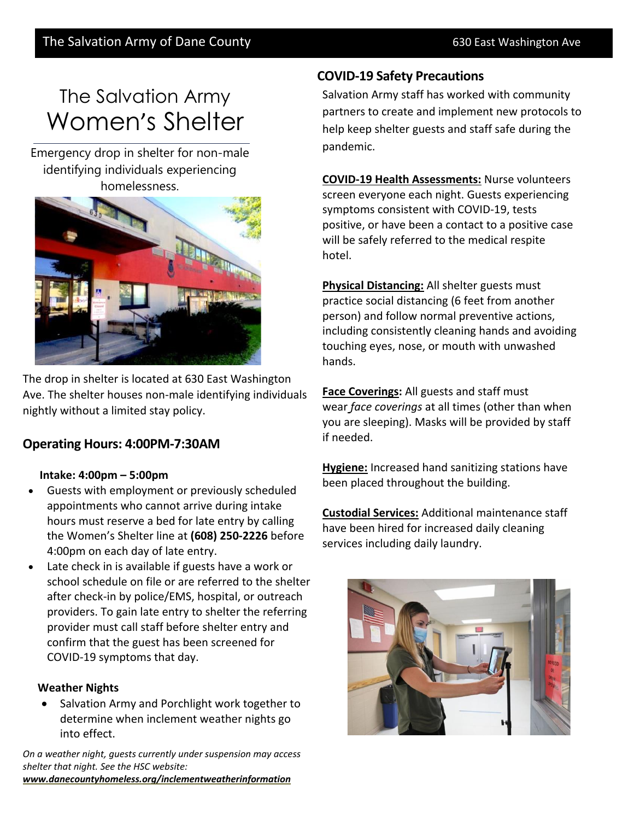# The Salvation Army Women's Shelter

Emergency drop in shelter for non-male identifying individuals experiencing homelessness.



The drop in shelter is located at 630 East Washington Ave. The shelter houses non-male identifying individuals nightly without a limited stay policy.

# **Operating Hours: 4:00PM-7:30AM**

#### **Intake: 4:00pm – 5:00pm**

- Guests with employment or previously scheduled appointments who cannot arrive during intake hours must reserve a bed for late entry by calling the Women's Shelter line at **(608) 250-2226** before 4:00pm on each day of late entry.
- Late check in is available if guests have a work or school schedule on file or are referred to the shelter after check-in by police/EMS, hospital, or outreach providers. To gain late entry to shelter the referring provider must call staff before shelter entry and confirm that the guest has been screened for COVID-19 symptoms that day.

## **Weather Nights**

• Salvation Army and Porchlight work together to determine when inclement weather nights go into effect.

*On a weather night, guests currently under suspension may access shelter that night. See the HSC website: [www.danecountyhomeless.org/inclementweatherinformation](https://www.danecountyhomeless.org/inclementweatherinformation)*

# **COVID-19 Safety Precautions**

Salvation Army staff has worked with community partners to create and implement new protocols to help keep shelter guests and staff safe during the pandemic.

**COVID-19 Health Assessments:** Nurse volunteers screen everyone each night. Guests experiencing symptoms consistent with COVID-19, tests positive, or have been a contact to a positive case will be safely referred to the medical respite hotel.

**Physical Distancing:** All shelter guests must practice social distancing (6 feet from another person) and follow normal preventive actions, including consistently cleaning hands and avoiding touching eyes, nose, or mouth with unwashed hands.

**Face Coverings:** All guests and staff must wear *[face coverings](https://www.cdc.gov/coronavirus/2019-ncov/prevent-getting-sick/diy-cloth-face-coverings.html)* at all times (other than when you are sleeping). Masks will be provided by staff if needed.

**Hygiene:** Increased hand sanitizing stations have been placed throughout the building.

**Custodial Services:** Additional maintenance staff have been hired for increased daily cleaning services including daily laundry.